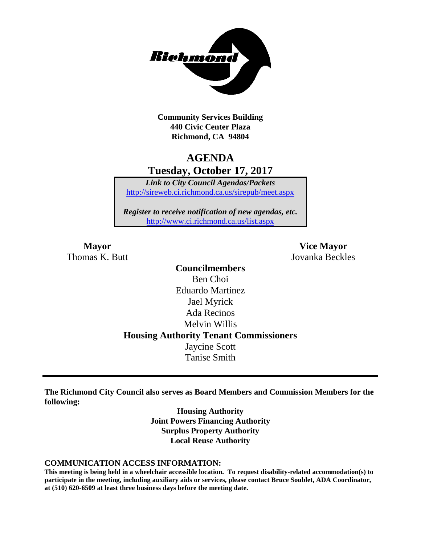

**Community Services Building 440 Civic Center Plaza Richmond, CA 94804**

## **AGENDA Tuesday, October 17, 2017**

*Link to City Council Agendas/Packets* <http://sireweb.ci.richmond.ca.us/sirepub/meet.aspx>

*Register to receive notification of new agendas, etc.* <http://www.ci.richmond.ca.us/list.aspx>

Thomas K. Butt Jovanka Beckles

**Mayor Vice Mayor**

**Councilmembers** Ben Choi Eduardo Martinez Jael Myrick Ada Recinos Melvin Willis **Housing Authority Tenant Commissioners** Jaycine Scott Tanise Smith

**The Richmond City Council also serves as Board Members and Commission Members for the following:**

> **Housing Authority Joint Powers Financing Authority Surplus Property Authority Local Reuse Authority**

#### **COMMUNICATION ACCESS INFORMATION:**

**This meeting is being held in a wheelchair accessible location. To request disability-related accommodation(s) to participate in the meeting, including auxiliary aids or services, please contact Bruce Soublet, ADA Coordinator, at (510) 620-6509 at least three business days before the meeting date.**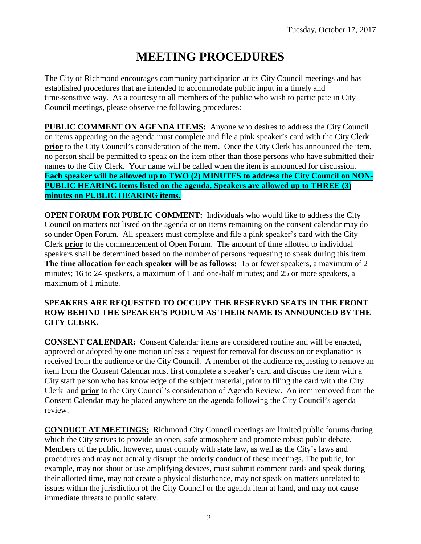# **MEETING PROCEDURES**

The City of Richmond encourages community participation at its City Council meetings and has established procedures that are intended to accommodate public input in a timely and time-sensitive way. As a courtesy to all members of the public who wish to participate in City Council meetings, please observe the following procedures:

**PUBLIC COMMENT ON AGENDA ITEMS:** Anyone who desires to address the City Council on items appearing on the agenda must complete and file a pink speaker's card with the City Clerk **prior** to the City Council's consideration of the item. Once the City Clerk has announced the item, no person shall be permitted to speak on the item other than those persons who have submitted their names to the City Clerk. Your name will be called when the item is announced for discussion. **Each speaker will be allowed up to TWO (2) MINUTES to address the City Council on NON-PUBLIC HEARING items listed on the agenda. Speakers are allowed up to THREE (3) minutes on PUBLIC HEARING items.**

**OPEN FORUM FOR PUBLIC COMMENT:** Individuals who would like to address the City Council on matters not listed on the agenda or on items remaining on the consent calendar may do so under Open Forum. All speakers must complete and file a pink speaker's card with the City Clerk **prior** to the commencement of Open Forum. The amount of time allotted to individual speakers shall be determined based on the number of persons requesting to speak during this item. **The time allocation for each speaker will be as follows:** 15 or fewer speakers, a maximum of 2 minutes; 16 to 24 speakers, a maximum of 1 and one-half minutes; and 25 or more speakers, a maximum of 1 minute.

## **SPEAKERS ARE REQUESTED TO OCCUPY THE RESERVED SEATS IN THE FRONT ROW BEHIND THE SPEAKER'S PODIUM AS THEIR NAME IS ANNOUNCED BY THE CITY CLERK.**

**CONSENT CALENDAR:** Consent Calendar items are considered routine and will be enacted, approved or adopted by one motion unless a request for removal for discussion or explanation is received from the audience or the City Council. A member of the audience requesting to remove an item from the Consent Calendar must first complete a speaker's card and discuss the item with a City staff person who has knowledge of the subject material, prior to filing the card with the City Clerk and **prior** to the City Council's consideration of Agenda Review. An item removed from the Consent Calendar may be placed anywhere on the agenda following the City Council's agenda review.

**CONDUCT AT MEETINGS:** Richmond City Council meetings are limited public forums during which the City strives to provide an open, safe atmosphere and promote robust public debate. Members of the public, however, must comply with state law, as well as the City's laws and procedures and may not actually disrupt the orderly conduct of these meetings. The public, for example, may not shout or use amplifying devices, must submit comment cards and speak during their allotted time, may not create a physical disturbance, may not speak on matters unrelated to issues within the jurisdiction of the City Council or the agenda item at hand, and may not cause immediate threats to public safety.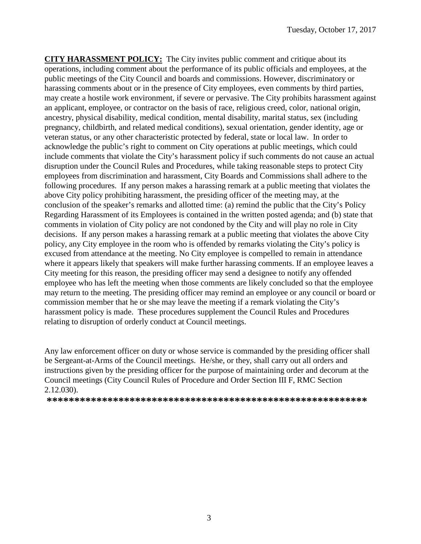**CITY HARASSMENT POLICY:** The City invites public comment and critique about its operations, including comment about the performance of its public officials and employees, at the public meetings of the City Council and boards and commissions. However, discriminatory or harassing comments about or in the presence of City employees, even comments by third parties, may create a hostile work environment, if severe or pervasive. The City prohibits harassment against an applicant, employee, or contractor on the basis of race, religious creed, color, national origin, ancestry, physical disability, medical condition, mental disability, marital status, sex (including pregnancy, childbirth, and related medical conditions), sexual orientation, gender identity, age or veteran status, or any other characteristic protected by federal, state or local law. In order to acknowledge the public's right to comment on City operations at public meetings, which could include comments that violate the City's harassment policy if such comments do not cause an actual disruption under the Council Rules and Procedures, while taking reasonable steps to protect City employees from discrimination and harassment, City Boards and Commissions shall adhere to the following procedures. If any person makes a harassing remark at a public meeting that violates the above City policy prohibiting harassment, the presiding officer of the meeting may, at the conclusion of the speaker's remarks and allotted time: (a) remind the public that the City's Policy Regarding Harassment of its Employees is contained in the written posted agenda; and (b) state that comments in violation of City policy are not condoned by the City and will play no role in City decisions. If any person makes a harassing remark at a public meeting that violates the above City policy, any City employee in the room who is offended by remarks violating the City's policy is excused from attendance at the meeting. No City employee is compelled to remain in attendance where it appears likely that speakers will make further harassing comments. If an employee leaves a City meeting for this reason, the presiding officer may send a designee to notify any offended employee who has left the meeting when those comments are likely concluded so that the employee may return to the meeting. The presiding officer may remind an employee or any council or board or commission member that he or she may leave the meeting if a remark violating the City's harassment policy is made. These procedures supplement the Council Rules and Procedures relating to disruption of orderly conduct at Council meetings.

Any law enforcement officer on duty or whose service is commanded by the presiding officer shall be Sergeant-at-Arms of the Council meetings. He/she, or they, shall carry out all orders and instructions given by the presiding officer for the purpose of maintaining order and decorum at the Council meetings (City Council Rules of Procedure and Order Section III F, RMC Section 2.12.030).

**\*\*\*\*\*\*\*\*\*\*\*\*\*\*\*\*\*\*\*\*\*\*\*\*\*\*\*\*\*\*\*\*\*\*\*\*\*\*\*\*\*\*\*\*\*\*\*\*\*\*\*\*\*\*\*\*\*\***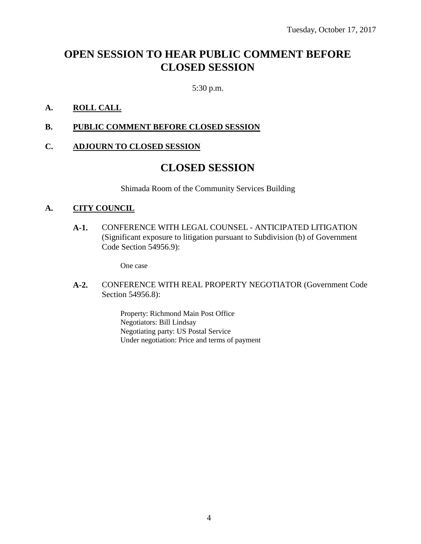## **OPEN SESSION TO HEAR PUBLIC COMMENT BEFORE CLOSED SESSION**

5:30 p.m.

## **A. ROLL CALL**

**B. PUBLIC COMMENT BEFORE CLOSED SESSION**

## **C. ADJOURN TO CLOSED SESSION**

## **CLOSED SESSION**

Shimada Room of the Community Services Building

## **A. CITY COUNCIL**

**A-1.** CONFERENCE WITH LEGAL COUNSEL - ANTICIPATED LITIGATION (Significant exposure to litigation pursuant to Subdivision (b) of Government Code Section 54956.9):

One case

**A-2.** CONFERENCE WITH REAL PROPERTY NEGOTIATOR (Government Code Section 54956.8):

> Property: Richmond Main Post Office Negotiators: Bill Lindsay Negotiating party: US Postal Service Under negotiation: Price and terms of payment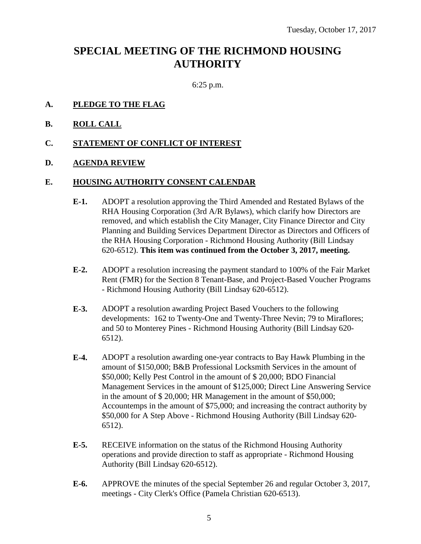## **SPECIAL MEETING OF THE RICHMOND HOUSING AUTHORITY**

6:25 p.m.

- **A. PLEDGE TO THE FLAG**
- **B. ROLL CALL**
- **C. STATEMENT OF CONFLICT OF INTEREST**
- **D. AGENDA REVIEW**

#### **E. HOUSING AUTHORITY CONSENT CALENDAR**

- **E-1.** ADOPT a resolution approving the Third Amended and Restated Bylaws of the RHA Housing Corporation (3rd A/R Bylaws), which clarify how Directors are removed, and which establish the City Manager, City Finance Director and City Planning and Building Services Department Director as Directors and Officers of the RHA Housing Corporation - Richmond Housing Authority (Bill Lindsay 620-6512). **This item was continued from the October 3, 2017, meeting.**
- **E-2.** ADOPT a resolution increasing the payment standard to 100% of the Fair Market Rent (FMR) for the Section 8 Tenant-Base, and Project-Based Voucher Programs - Richmond Housing Authority (Bill Lindsay 620-6512).
- **E-3.** ADOPT a resolution awarding Project Based Vouchers to the following developments: 162 to Twenty-One and Twenty-Three Nevin; 79 to Miraflores; and 50 to Monterey Pines - Richmond Housing Authority (Bill Lindsay 620- 6512).
- **E-4.** ADOPT a resolution awarding one-year contracts to Bay Hawk Plumbing in the amount of \$150,000; B&B Professional Locksmith Services in the amount of \$50,000; Kelly Pest Control in the amount of \$ 20,000; BDO Financial Management Services in the amount of \$125,000; Direct Line Answering Service in the amount of \$ 20,000; HR Management in the amount of \$50,000; Accountemps in the amount of \$75,000; and increasing the contract authority by \$50,000 for A Step Above - Richmond Housing Authority (Bill Lindsay 620- 6512).
- **E-5.** RECEIVE information on the status of the Richmond Housing Authority operations and provide direction to staff as appropriate - Richmond Housing Authority (Bill Lindsay 620-6512).
- **E-6.** APPROVE the minutes of the special September 26 and regular October 3, 2017, meetings - City Clerk's Office (Pamela Christian 620-6513).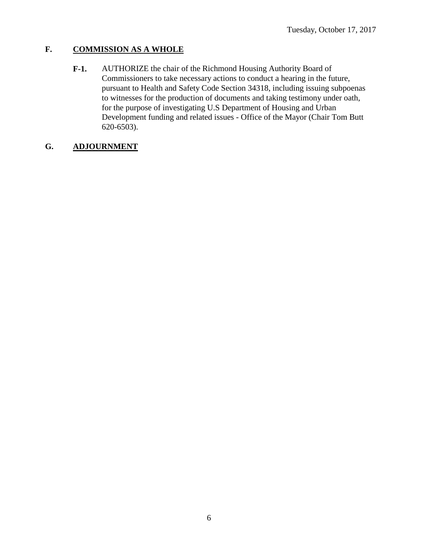## **F. COMMISSION AS A WHOLE**

**F-1.** AUTHORIZE the chair of the Richmond Housing Authority Board of Commissioners to take necessary actions to conduct a hearing in the future, pursuant to Health and Safety Code Section 34318, including issuing subpoenas to witnesses for the production of documents and taking testimony under oath, for the purpose of investigating U.S Department of Housing and Urban Development funding and related issues - Office of the Mayor (Chair Tom Butt 620-6503).

## **G. ADJOURNMENT**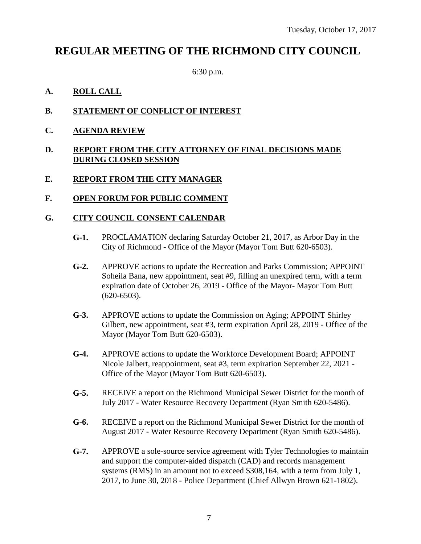## **REGULAR MEETING OF THE RICHMOND CITY COUNCIL**

6:30 p.m.

## **A. ROLL CALL**

- **B. STATEMENT OF CONFLICT OF INTEREST**
- **C. AGENDA REVIEW**

#### **D. REPORT FROM THE CITY ATTORNEY OF FINAL DECISIONS MADE DURING CLOSED SESSION**

## **E. REPORT FROM THE CITY MANAGER**

## **F. OPEN FORUM FOR PUBLIC COMMENT**

## **G. CITY COUNCIL CONSENT CALENDAR**

- **G-1.** PROCLAMATION declaring Saturday October 21, 2017, as Arbor Day in the City of Richmond - Office of the Mayor (Mayor Tom Butt 620-6503).
- **G-2.** APPROVE actions to update the Recreation and Parks Commission; APPOINT Soheila Bana, new appointment, seat #9, filling an unexpired term, with a term expiration date of October 26, 2019 - Office of the Mayor- Mayor Tom Butt (620-6503).
- **G-3.** APPROVE actions to update the Commission on Aging; APPOINT Shirley Gilbert, new appointment, seat #3, term expiration April 28, 2019 - Office of the Mayor (Mayor Tom Butt 620-6503).
- **G-4.** APPROVE actions to update the Workforce Development Board; APPOINT Nicole Jalbert, reappointment, seat #3, term expiration September 22, 2021 - Office of the Mayor (Mayor Tom Butt 620-6503).
- **G-5.** RECEIVE a report on the Richmond Municipal Sewer District for the month of July 2017 - Water Resource Recovery Department (Ryan Smith 620-5486).
- **G-6.** RECEIVE a report on the Richmond Municipal Sewer District for the month of August 2017 - Water Resource Recovery Department (Ryan Smith 620-5486).
- **G-7.** APPROVE a sole-source service agreement with Tyler Technologies to maintain and support the computer-aided dispatch (CAD) and records management systems (RMS) in an amount not to exceed \$308,164, with a term from July 1, 2017, to June 30, 2018 - Police Department (Chief Allwyn Brown 621-1802).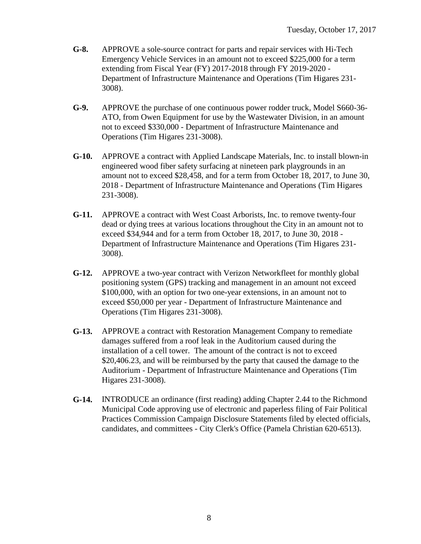- **G-8.** APPROVE a sole-source contract for parts and repair services with Hi-Tech Emergency Vehicle Services in an amount not to exceed \$225,000 for a term extending from Fiscal Year (FY) 2017-2018 through FY 2019-2020 - Department of Infrastructure Maintenance and Operations (Tim Higares 231- 3008).
- **G-9.** APPROVE the purchase of one continuous power rodder truck, Model S660-36- ATO, from Owen Equipment for use by the Wastewater Division, in an amount not to exceed \$330,000 - Department of Infrastructure Maintenance and Operations (Tim Higares 231-3008).
- **G-10.** APPROVE a contract with Applied Landscape Materials, Inc. to install blown-in engineered wood fiber safety surfacing at nineteen park playgrounds in an amount not to exceed \$28,458, and for a term from October 18, 2017, to June 30, 2018 - Department of Infrastructure Maintenance and Operations (Tim Higares 231-3008).
- **G-11.** APPROVE a contract with West Coast Arborists, Inc. to remove twenty-four dead or dying trees at various locations throughout the City in an amount not to exceed \$34,944 and for a term from October 18, 2017, to June 30, 2018 - Department of Infrastructure Maintenance and Operations (Tim Higares 231- 3008).
- **G-12.** APPROVE a two-year contract with Verizon Networkfleet for monthly global positioning system (GPS) tracking and management in an amount not exceed \$100,000, with an option for two one-year extensions, in an amount not to exceed \$50,000 per year - Department of Infrastructure Maintenance and Operations (Tim Higares 231-3008).
- **G-13.** APPROVE a contract with Restoration Management Company to remediate damages suffered from a roof leak in the Auditorium caused during the installation of a cell tower. The amount of the contract is not to exceed \$20,406.23, and will be reimbursed by the party that caused the damage to the Auditorium - Department of Infrastructure Maintenance and Operations (Tim Higares 231-3008).
- **G-14.** INTRODUCE an ordinance (first reading) adding Chapter 2.44 to the Richmond Municipal Code approving use of electronic and paperless filing of Fair Political Practices Commission Campaign Disclosure Statements filed by elected officials, candidates, and committees - City Clerk's Office (Pamela Christian 620-6513).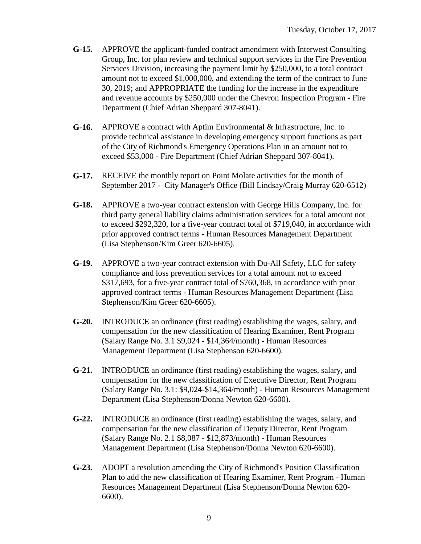- **G-15.** APPROVE the applicant-funded contract amendment with Interwest Consulting Group, Inc. for plan review and technical support services in the Fire Prevention Services Division, increasing the payment limit by \$250,000, to a total contract amount not to exceed \$1,000,000, and extending the term of the contract to June 30, 2019; and APPROPRIATE the funding for the increase in the expenditure and revenue accounts by \$250,000 under the Chevron Inspection Program - Fire Department (Chief Adrian Sheppard 307-8041).
- **G-16.** APPROVE a contract with Aptim Environmental & Infrastructure, Inc. to provide technical assistance in developing emergency support functions as part of the City of Richmond's Emergency Operations Plan in an amount not to exceed \$53,000 - Fire Department (Chief Adrian Sheppard 307-8041).
- **G-17.** RECEIVE the monthly report on Point Molate activities for the month of September 2017 - City Manager's Office (Bill Lindsay/Craig Murray 620-6512)
- **G-18.** APPROVE a two-year contract extension with George Hills Company, Inc. for third party general liability claims administration services for a total amount not to exceed \$292,320, for a five-year contract total of \$719,040, in accordance with prior approved contract terms - Human Resources Management Department (Lisa Stephenson/Kim Greer 620-6605).
- **G-19.** APPROVE a two-year contract extension with Du-All Safety, LLC for safety compliance and loss prevention services for a total amount not to exceed \$317,693, for a five-year contract total of \$760,368, in accordance with prior approved contract terms - Human Resources Management Department (Lisa Stephenson/Kim Greer 620-6605).
- **G-20.** INTRODUCE an ordinance (first reading) establishing the wages, salary, and compensation for the new classification of Hearing Examiner, Rent Program (Salary Range No. 3.1 \$9,024 - \$14,364/month) - Human Resources Management Department (Lisa Stephenson 620-6600).
- **G-21.** INTRODUCE an ordinance (first reading) establishing the wages, salary, and compensation for the new classification of Executive Director, Rent Program (Salary Range No. 3.1: \$9,024-\$14,364/month) - Human Resources Management Department (Lisa Stephenson/Donna Newton 620-6600).
- **G-22.** INTRODUCE an ordinance (first reading) establishing the wages, salary, and compensation for the new classification of Deputy Director, Rent Program (Salary Range No. 2.1 \$8,087 - \$12,873/month) - Human Resources Management Department (Lisa Stephenson/Donna Newton 620-6600).
- **G-23.** ADOPT a resolution amending the City of Richmond's Position Classification Plan to add the new classification of Hearing Examiner, Rent Program - Human Resources Management Department (Lisa Stephenson/Donna Newton 620- 6600).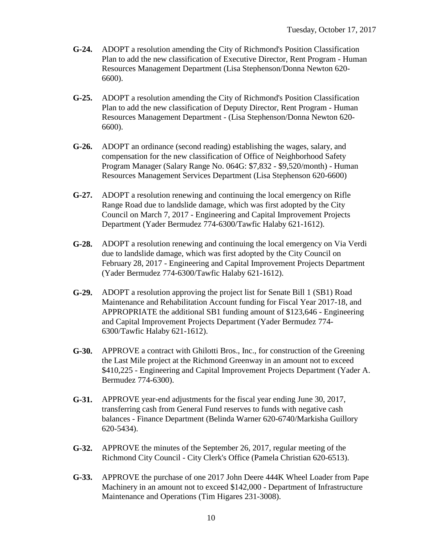- **G-24.** ADOPT a resolution amending the City of Richmond's Position Classification Plan to add the new classification of Executive Director, Rent Program - Human Resources Management Department (Lisa Stephenson/Donna Newton 620- 6600).
- **G-25.** ADOPT a resolution amending the City of Richmond's Position Classification Plan to add the new classification of Deputy Director, Rent Program - Human Resources Management Department - (Lisa Stephenson/Donna Newton 620- 6600).
- **G-26.** ADOPT an ordinance (second reading) establishing the wages, salary, and compensation for the new classification of Office of Neighborhood Safety Program Manager (Salary Range No. 064G: \$7,832 - \$9,520/month) - Human Resources Management Services Department (Lisa Stephenson 620-6600)
- **G-27.** ADOPT a resolution renewing and continuing the local emergency on Rifle Range Road due to landslide damage, which was first adopted by the City Council on March 7, 2017 - Engineering and Capital Improvement Projects Department (Yader Bermudez 774-6300/Tawfic Halaby 621-1612).
- **G-28.** ADOPT a resolution renewing and continuing the local emergency on Via Verdi due to landslide damage, which was first adopted by the City Council on February 28, 2017 - Engineering and Capital Improvement Projects Department (Yader Bermudez 774-6300/Tawfic Halaby 621-1612).
- **G-29.** ADOPT a resolution approving the project list for Senate Bill 1 (SB1) Road Maintenance and Rehabilitation Account funding for Fiscal Year 2017-18, and APPROPRIATE the additional SB1 funding amount of \$123,646 - Engineering and Capital Improvement Projects Department (Yader Bermudez 774- 6300/Tawfic Halaby 621-1612).
- **G-30.** APPROVE a contract with Ghilotti Bros., Inc., for construction of the Greening the Last Mile project at the Richmond Greenway in an amount not to exceed \$410,225 - Engineering and Capital Improvement Projects Department (Yader A. Bermudez 774-6300).
- **G-31.** APPROVE year-end adjustments for the fiscal year ending June 30, 2017, transferring cash from General Fund reserves to funds with negative cash balances - Finance Department (Belinda Warner 620-6740/Markisha Guillory 620-5434).
- **G-32.** APPROVE the minutes of the September 26, 2017, regular meeting of the Richmond City Council - City Clerk's Office (Pamela Christian 620-6513).
- **G-33.** APPROVE the purchase of one 2017 John Deere 444K Wheel Loader from Pape Machinery in an amount not to exceed \$142,000 - Department of Infrastructure Maintenance and Operations (Tim Higares 231-3008).